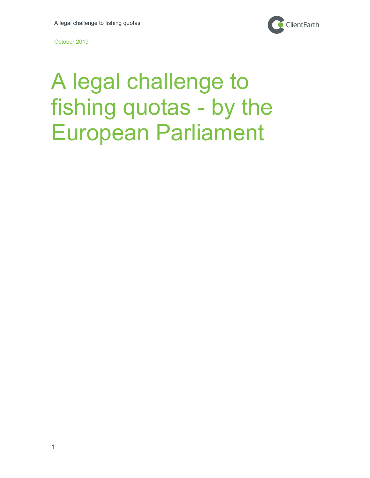

# A legal challenge to fishing quotas - by the European Parliament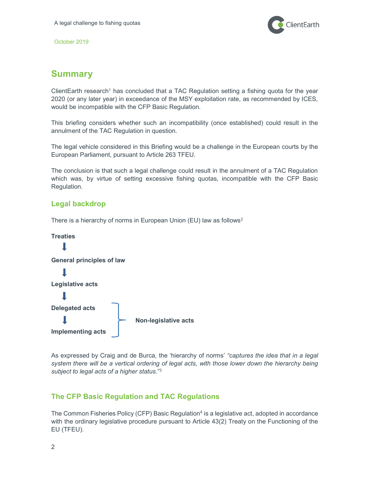

## Summary

ClientEarth research<sup>1</sup> has concluded that a TAC Regulation setting a fishing quota for the year 2020 (or any later year) in exceedance of the MSY exploitation rate, as recommended by ICES, would be incompatible with the CFP Basic Regulation.

This briefing considers whether such an incompatibility (once established) could result in the annulment of the TAC Regulation in question.

The legal vehicle considered in this Briefing would be a challenge in the European courts by the European Parliament, pursuant to Article 263 TFEU.

The conclusion is that such a legal challenge could result in the annulment of a TAC Regulation which was, by virtue of setting excessive fishing quotas, incompatible with the CFP Basic Regulation.

## Legal backdrop

There is a hierarchy of norms in European Union (EU) law as follows<sup>2</sup>



As expressed by Craig and de Burca, the 'hierarchy of norms' "captures the idea that in a legal system there will be a vertical ordering of legal acts, with those lower down the hierarchy being subject to legal acts of a higher status."<sup>3</sup>

## The CFP Basic Regulation and TAC Regulations

The Common Fisheries Policy (CFP) Basic Regulation<sup>4</sup> is a legislative act, adopted in accordance with the ordinary legislative procedure pursuant to Article 43(2) Treaty on the Functioning of the EU (TFEU).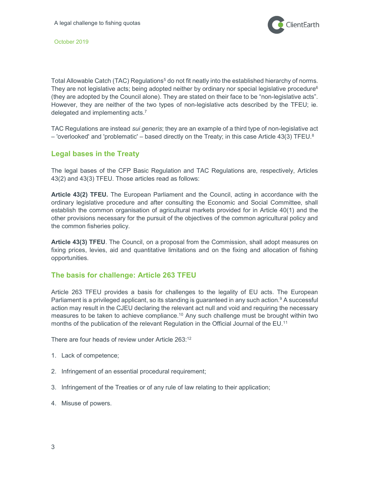

Total Allowable Catch (TAC) Regulations<sup>5</sup> do not fit neatly into the established hierarchy of norms. They are not legislative acts; being adopted neither by ordinary nor special legislative procedure<sup>6</sup> (they are adopted by the Council alone). They are stated on their face to be "non-legislative acts". However, they are neither of the two types of non-legislative acts described by the TFEU; ie. delegated and implementing acts.<sup>7</sup>

TAC Regulations are instead *sui generis*; they are an example of a third type of non-legislative act – 'overlooked' and 'problematic' – based directly on the Treaty; in this case Article 43(3) TFEU. $8$ 

### Legal bases in the Treaty

The legal bases of the CFP Basic Regulation and TAC Regulations are, respectively, Articles 43(2) and 43(3) TFEU. Those articles read as follows:

Article 43(2) TFEU. The European Parliament and the Council, acting in accordance with the ordinary legislative procedure and after consulting the Economic and Social Committee, shall establish the common organisation of agricultural markets provided for in Article 40(1) and the other provisions necessary for the pursuit of the objectives of the common agricultural policy and the common fisheries policy.

Article 43(3) TFEU. The Council, on a proposal from the Commission, shall adopt measures on fixing prices, levies, aid and quantitative limitations and on the fixing and allocation of fishing opportunities.

#### The basis for challenge: Article 263 TFEU

Article 263 TFEU provides a basis for challenges to the legality of EU acts. The European Parliament is a privileged applicant, so its standing is guaranteed in any such action.<sup>9</sup> A successful action may result in the CJEU declaring the relevant act null and void and requiring the necessary measures to be taken to achieve compliance.<sup>10</sup> Any such challenge must be brought within two months of the publication of the relevant Regulation in the Official Journal of the EU.<sup>11</sup>

There are four heads of review under Article 263:<sup>12</sup>

- 1. Lack of competence;
- 2. Infringement of an essential procedural requirement;
- 3. Infringement of the Treaties or of any rule of law relating to their application;
- 4. Misuse of powers.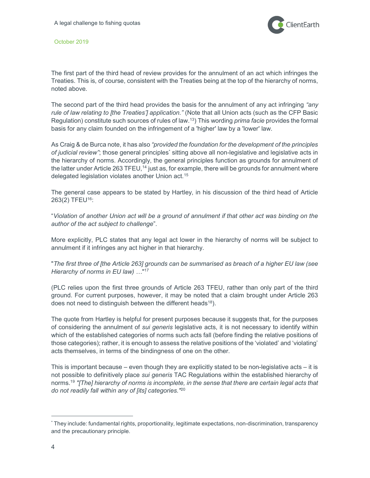

The first part of the third head of review provides for the annulment of an act which infringes the Treaties. This is, of course, consistent with the Treaties being at the top of the hierarchy of norms, noted above.

The second part of the third head provides the basis for the annulment of any act infringing "any rule of law relating to [the Treaties'] application." (Note that all Union acts (such as the CFP Basic Regulation) constitute such sources of rules of law.<sup>13</sup>) This wording *prima facie* provides the formal basis for any claim founded on the infringement of a 'higher' law by a 'lower' law.

As Craig & de Burca note, it has also "provided the foundation for the development of the principles of judicial review"; those general principles<sup>\*</sup> sitting above all non-legislative and legislative acts in the hierarchy of norms. Accordingly, the general principles function as grounds for annulment of the latter under Article 263 TFEU,<sup>14</sup> just as, for example, there will be grounds for annulment where delegated legislation violates another Union act.<sup>15</sup>

The general case appears to be stated by Hartley, in his discussion of the third head of Article 263(2) TFEU<sup>16</sup>:

"Violation of another Union act will be a ground of annulment if that other act was binding on the author of the act subject to challenge".

More explicitly, PLC states that any legal act lower in the hierarchy of norms will be subject to annulment if it infringes any act higher in that hierarchy.

"The first three of [the Article 263] grounds can be summarised as breach of a higher EU law (see Hierarchy of norms in EU law) ..."<sup>17</sup>

(PLC relies upon the first three grounds of Article 263 TFEU, rather than only part of the third ground. For current purposes, however, it may be noted that a claim brought under Article 263 does not need to distinguish between the different heads<sup>18</sup>).

The quote from Hartley is helpful for present purposes because it suggests that, for the purposes of considering the annulment of *sui generis* legislative acts, it is not necessary to identify within which of the established categories of norms such acts fall (before finding the relative positions of those categories); rather, it is enough to assess the relative positions of the 'violated' and 'violating' acts themselves, in terms of the bindingness of one on the other.

This is important because – even though they are explicitly stated to be non-legislative acts – it is not possible to definitively place sui generis TAC Regulations within the established hierarchy of norms.<sup>19</sup> "[The] hierarchy of norms is incomplete, in the sense that there are certain legal acts that do not readily fall within any of [its] categories."<sup>20</sup>

 $\overline{a}$ 

<sup>\*</sup> They include: fundamental rights, proportionality, legitimate expectations, non-discrimination, transparency and the precautionary principle.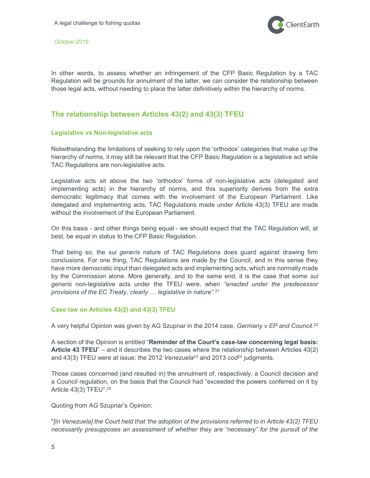

In other words, to assess whether an infringement of the CFP Basic Regulation by a TAC Regulation will be grounds for annulment of the latter, we can consider the relationship between those legal acts, without needing to place the latter definitively within the hierarchy of norms.

## The relationship between Articles 43(2) and 43(3) TFEU

#### Legislative vs Non-legislative acts

Notwithstanding the limitations of seeking to rely upon the 'orthodox' categories that make up the hierarchy of norms, it may still be relevant that the CFP Basic Regulation is a legislative act while TAC Regulations are non-legislative acts.

Legislative acts sit above the two 'orthodox' forms of non-legislative acts (delegated and implementing acts) in the hierarchy of norms, and this superiority derives from the extra democratic legitimacy that comes with the involvement of the European Parliament. Like delegated and implementing acts, TAC Regulations made under Article 43(3) TFEU are made without the involvement of the European Parliament.

On this basis - and other things being equal - we should expect that the TAC Regulation will, at best, be equal in status to the CFP Basic Regulation.

That being so, the *sui generis* nature of TAC Regulations does guard against drawing firm conclusions. For one thing, TAC Regulations are made by the Council, and in this sense they have more democratic input than delegated acts and implementing acts, which are normally made by the Commission alone. More generally, and to the same end, it is the case that some sui generis non-legislative acts under the TFEU were, when "enacted under the predecessor provisions of the EC Treaty, clearly ... legislative in nature".<sup>21</sup>

#### Case law on Articles 43(2) and 43(3) TFEU

A very helpful Opinion was given by AG Szupnar in the 2014 case, *Germany v EP and Council.<sup>22</sup>* 

A section of the Opinion is entitled "Reminder of the Court's case-law concerning legal basis: Article 43 TFEU" – and it describes the two cases where the relationship between Articles 43(2) and 43(3) TFEU were at issue: the 2012 Venezuela<sup>23</sup> and 2013  $\cos^{24}$  judgments.

Those cases concerned (and resulted in) the annulment of, respectively, a Council decision and a Council regulation, on the basis that the Council had "exceeded the powers conferred on it by Article 43(3) TFEU".<sup>25</sup>

Quoting from AG Szupnar's Opinion:

"[in Venezuela] the Court held that 'the adoption of the provisions referred to in Article 43(2) TFEU necessarily presupposes an assessment of whether they are "necessary" for the pursuit of the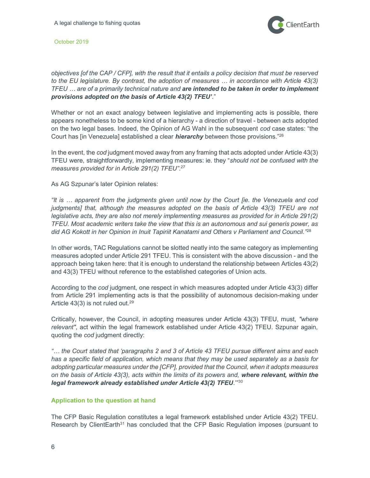

objectives [of the CAP / CFP], with the result that it entails a policy decision that must be reserved to the EU legislature. By contrast, the adoption of measures … in accordance with Article 43(3) TFEU ... are of a primarily technical nature and are intended to be taken in order to implement provisions adopted on the basis of Article 43(2) TFEU'."

Whether or not an exact analogy between legislative and implementing acts is possible, there appears nonetheless to be some kind of a hierarchy - a direction of travel - between acts adopted on the two legal bases. Indeed, the Opinion of AG Wahl in the subsequent cod case states: "the Court has [in Venezuela] established a clear *hierarchy* between those provisions."<sup>26</sup>

In the event, the cod judgment moved away from any framing that acts adopted under Article 43(3) TFEU were, straightforwardly, implementing measures: ie. they "should not be confused with the measures provided for in Article 291(2) TFEU".<sup>27</sup>

As AG Szpunar's later Opinion relates:

"It is … apparent from the judgments given until now by the Court [ie. the Venezuela and cod judgments] that, although the measures adopted on the basis of Article 43(3) TFEU are not legislative acts, they are also not merely implementing measures as provided for in Article 291(2) TFEU. Most academic writers take the view that this is an autonomous and sui generis power, as did AG Kokott in her Opinion in Inuit Tapiriit Kanatami and Others v Parliament and Council." $^{28}$ 

In other words, TAC Regulations cannot be slotted neatly into the same category as implementing measures adopted under Article 291 TFEU. This is consistent with the above discussion - and the approach being taken here: that it is enough to understand the relationship between Articles 43(2) and 43(3) TFEU without reference to the established categories of Union acts.

According to the cod judgment, one respect in which measures adopted under Article 43(3) differ from Article 291 implementing acts is that the possibility of autonomous decision-making under Article 43(3) is not ruled out.<sup>29</sup>

Critically, however, the Council, in adopting measures under Article 43(3) TFEU, must, "where relevant", act within the legal framework established under Article 43(2) TFEU. Szpunar again, quoting the cod judgment directly:

"… the Court stated that 'paragraphs 2 and 3 of Article 43 TFEU pursue different aims and each has a specific field of application, which means that they may be used separately as a basis for adopting particular measures under the [CFP], provided that the Council, when it adopts measures on the basis of Article 43(3), acts within the limits of its powers and, where relevant, within the legal framework already established under Article 43(2) TFEU.'"<sup>30</sup>

#### Application to the question at hand

The CFP Basic Regulation constitutes a legal framework established under Article 43(2) TFEU. Research by ClientEarth<sup>31</sup> has concluded that the CFP Basic Regulation imposes (pursuant to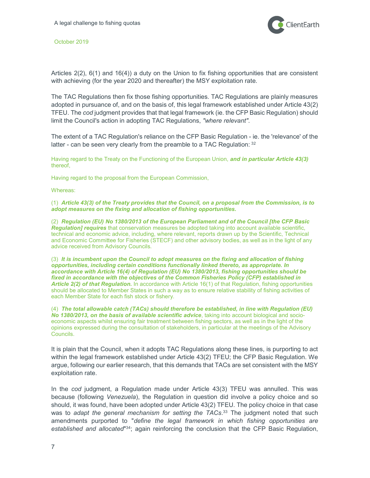

Articles 2(2), 6(1) and 16(4)) a duty on the Union to fix fishing opportunities that are consistent with achieving (for the year 2020 and thereafter) the MSY exploitation rate.

The TAC Regulations then fix those fishing opportunities. TAC Regulations are plainly measures adopted in pursuance of, and on the basis of, this legal framework established under Article 43(2) TFEU. The cod judgment provides that that legal framework (ie. the CFP Basic Regulation) should limit the Council's action in adopting TAC Regulations, "where relevant".

The extent of a TAC Regulation's reliance on the CFP Basic Regulation - ie. the 'relevance' of the latter - can be seen very clearly from the preamble to a TAC Regulation: 32

Having regard to the Treaty on the Functioning of the European Union, and in particular Article 43(3) thereof,

Having regard to the proposal from the European Commission,

Whereas:

(1) Article 43(3) of the Treaty provides that the Council, on a proposal from the Commission, is to adopt measures on the fixing and allocation of fishing opportunities.

(2) Regulation (EU) No 1380/2013 of the European Parliament and of the Council [the CFP Basic Regulation] requires that conservation measures be adopted taking into account available scientific, technical and economic advice, including, where relevant, reports drawn up by the Scientific, Technical and Economic Committee for Fisheries (STECF) and other advisory bodies, as well as in the light of any advice received from Advisory Councils.

(3) It is incumbent upon the Council to adopt measures on the fixing and allocation of fishing opportunities, including certain conditions functionally linked thereto, as appropriate. In accordance with Article 16(4) of Regulation (EU) No 1380/2013, fishing opportunities should be fixed in accordance with the objectives of the Common Fisheries Policy (CFP) established in Article 2(2) of that Regulation. In accordance with Article 16(1) of that Regulation, fishing opportunities should be allocated to Member States in such a way as to ensure relative stability of fishing activities of each Member State for each fish stock or fishery.

(4) The total allowable catch (TACs) should therefore be established, in line with Regulation (EU) No 1380/2013, on the basis of available scientific advice, taking into account biological and socioeconomic aspects whilst ensuring fair treatment between fishing sectors, as well as in the light of the opinions expressed during the consultation of stakeholders, in particular at the meetings of the Advisory Councils.

It is plain that the Council, when it adopts TAC Regulations along these lines, is purporting to act within the legal framework established under Article 43(2) TFEU; the CFP Basic Regulation. We argue, following our earlier research, that this demands that TACs are set consistent with the MSY exploitation rate.

In the cod judgment, a Regulation made under Article 43(3) TFEU was annulled. This was because (following Venezuela), the Regulation in question did involve a policy choice and so should, it was found, have been adopted under Article 43(2) TFEU. The policy choice in that case was to adapt the general mechanism for setting the TACs.<sup>33</sup> The judgment noted that such amendments purported to "define the legal framework in which fishing opportunities are established and allocated"<sup>34</sup>; again reinforcing the conclusion that the CFP Basic Regulation,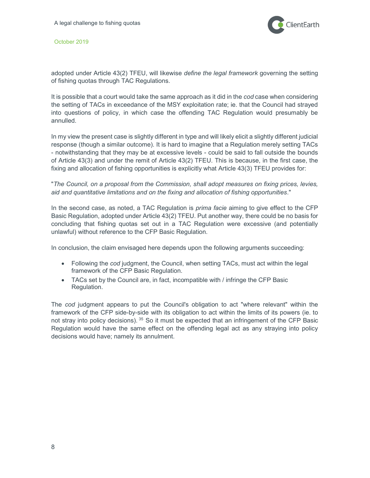

adopted under Article 43(2) TFEU, will likewise define the legal framework governing the setting of fishing quotas through TAC Regulations.

It is possible that a court would take the same approach as it did in the cod case when considering the setting of TACs in exceedance of the MSY exploitation rate; ie. that the Council had strayed into questions of policy, in which case the offending TAC Regulation would presumably be annulled.

In my view the present case is slightly different in type and will likely elicit a slightly different judicial response (though a similar outcome). It is hard to imagine that a Regulation merely setting TACs - notwithstanding that they may be at excessive levels - could be said to fall outside the bounds of Article 43(3) and under the remit of Article 43(2) TFEU. This is because, in the first case, the fixing and allocation of fishing opportunities is explicitly what Article 43(3) TFEU provides for:

"The Council, on a proposal from the Commission, shall adopt measures on fixing prices, levies, aid and quantitative limitations and on the fixing and allocation of fishing opportunities."

In the second case, as noted, a TAC Regulation is *prima facie* aiming to give effect to the CFP Basic Regulation, adopted under Article 43(2) TFEU. Put another way, there could be no basis for concluding that fishing quotas set out in a TAC Regulation were excessive (and potentially unlawful) without reference to the CFP Basic Regulation.

In conclusion, the claim envisaged here depends upon the following arguments succeeding:

- Following the cod judgment, the Council, when setting TACs, must act within the legal framework of the CFP Basic Regulation.
- TACs set by the Council are, in fact, incompatible with / infringe the CFP Basic Regulation.

The cod judgment appears to put the Council's obligation to act "where relevant" within the framework of the CFP side-by-side with its obligation to act within the limits of its powers (ie. to not stray into policy decisions). <sup>35</sup> So it must be expected that an infringement of the CFP Basic Regulation would have the same effect on the offending legal act as any straying into policy decisions would have; namely its annulment.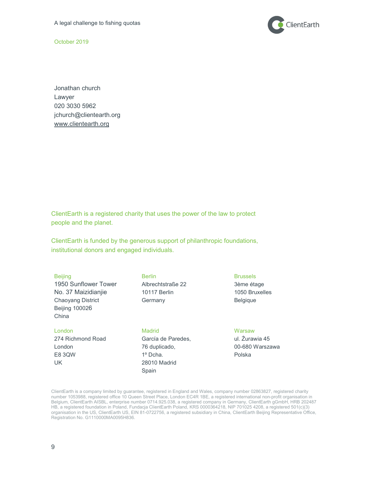

Jonathan church Lawyer 020 3030 5962 jchurch@clientearth.org www.clientearth.org

ClientEarth is a registered charity that uses the power of the law to protect people and the planet.

ClientEarth is funded by the generous support of philanthropic foundations, institutional donors and engaged individuals.

| <b>Beijing</b><br>1950 Sunflower Tower<br>No. 37 Maizidianjie<br>Chaoyang District<br><b>Beijing 100026</b><br>China | <b>Berlin</b><br>Albrechtstraße 22<br>10117 Berlin<br>Germany                               | <b>Brussels</b><br>3ème étage<br>1050 Bruxelles<br><b>Belgique</b> |
|----------------------------------------------------------------------------------------------------------------------|---------------------------------------------------------------------------------------------|--------------------------------------------------------------------|
| London<br>274 Richmond Road<br>London<br><b>E8 3QW</b><br>UK.                                                        | Madrid<br>García de Paredes,<br>76 duplicado,<br>$1^{\circ}$ Dcha.<br>28010 Madrid<br>Spain | Warsaw<br>ul. Žurawia 45<br>00-680 Warszawa<br>Polska              |

ClientEarth is a company limited by guarantee, registered in England and Wales, company number 02863827, registered charity number 1053988, registered office 10 Queen Street Place, London EC4R 1BE, a registered international non-profit organisation in Belgium, ClientEarth AISBL, enterprise number 0714.925.038, a registered company in Germany, ClientEarth gGmbH, HRB 202487 HB, a registered foundation in Poland, Fundacja ClientEarth Poland, KRS 0000364218, NIP 701025 4208, a registered 501(c)(3) organisation in the US, ClientEarth US, EIN 81-0722756, a registered subsidiary in China, ClientEarth Beijing Representative Office, Registration No. G1110000MA0095H836.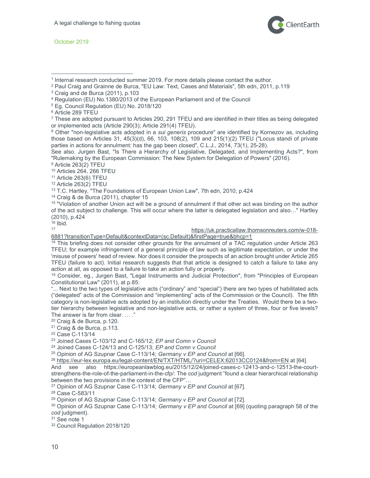$\overline{a}$ 



- 1 Internal research conducted summer 2019. For more details please contact the author.
- 2 Paul Craig and Grainne de Burca, "EU Law: Text, Cases and Materials", 5th edn, 2011, p.119
- 3 Craig and de Burca (2011), p.103
- 4 Regulation (EU) No.1380/2013 of the European Parliament and of the Council
- 5 Eg. Council Regulation (EU) No. 2018/120
- 6 Article 289 TFEU

<sup>8</sup> Other "non-legislative acts adopted in a *sui generis* procedure" are identified by Kornezov as, including those based on Articles 31, 45(3)(d), 66, 103, 108(2), 109 and 215(1)(2) TFEU ("Locus standi of private parties in actions for annulment: has the gap been closed", C.L.J., 2014, 73(1), 25-28).

See also. Jurgen Bast, "Is There a Hierarchy of Legislative, Delegated, and Implementing Acts?", from "Rulemaking by the European Commission: The New System for Delegation of Powers" (2016).

9 Article 263(2) TFEU

<sup>10</sup> Articles 264, 266 TFEU

<sup>11</sup> Article 263(6) TFEU

<sup>12</sup> Article 263(2) TFEU

<sup>13</sup> T.C. Hartley, "The Foundations of European Union Law", 7th edn, 2010, p.424

<sup>14</sup> Craig & de Burca (2011), chapter 15

<sup>15</sup> "Violation of another Union act will be a ground of annulment if that other act was binding on the author of the act subject to challenge. This will occur where the latter is delegated legislation and also…" Hartley (2010), p.424

 $\frac{16}{17}$  Ibid.

#### https://uk.practicallaw.thomsonreuters.com/w-018-

6881?transitionType=Default&contextData=(sc.Default)&firstPage=true&bhcp=1

<sup>18</sup> This briefing does not consider other grounds for the annulment of a TAC regulation under Article 263 TFEU; for example infringement of a general principle of law such as legitimate expectation, or under the 'misuse of powers' head of review. Nor does it consider the prospects of an action brought under Article 265 TFEU (failure to act). Initial research suggests that that article is designed to catch a failure to take any action at all, as opposed to a failure to take an action fully or properly.

<sup>19</sup> Consider, eg., Jurgen Bast, "Legal Instruments and Judicial Protection", from "Principles of European Constitutional Law" (2011), at p.85:

"... Next to the two types of legislative acts ("ordinary" and "special") there are two types of habilitated acts ("delegated" acts of the Commission and "implementing" acts of the Commission or the Council). The fifth category is non-legislative acts adopted by an institution directly under the Treaties. Would there be a twotier hierarchy between legislative and non-legislative acts, or rather a system of three, four or five levels? The answer is far from clear. ... ."

<sup>20</sup> Craig & de Burca, p.120. <sup>21</sup> Craig & de Burca, p.113.

<sup>22</sup> Case C-113/14

<sup>23</sup> Joined Cases C-103/12 and C-165/12; EP and Comn v Council

<sup>24</sup> Joined Cases C-124/13 and C-125/13; EP and Comn v Council

<sup>25</sup> Opinion of AG Szupnar Case C-113/14; Germany v EP and Council at [66].

<sup>26</sup> https://eur-lex.europa.eu/legal-content/EN/TXT/HTML/?uri=CELEX:62013CC0124&from=EN at [64].

And see also https://europeanlawblog.eu/2015/12/24/joined-cases-c-12413-and-c-12513-the-courtstrengthens-the-role-of-the-parliament-in-the-cfp/: The cod judgment "found a clear hierarchical relationship between the two provisions in the context of the CFP"…

<sup>27</sup> Opinion of AG Szupnar Case C-113/14; Germany v EP and Council at [67].

<sup>28</sup> Case C-583/11

<sup>29</sup> Opinion of AG Szupnar Case C-113/14; Germany v EP and Council at [72].

<sup>30</sup> Opinion of AG Szupnar Case C-113/14; Germany v EP and Council at [69] (quoting paragraph 58 of the cod judgment).

<sup>31</sup> See note 1

<sup>32</sup> Council Regulation 2018/120

<sup>7</sup> These are adopted pursuant to Articles 290, 291 TFEU and are identified in their titles as being delegated or implemented acts (Article 290(3); Article 291(4) TFEU).